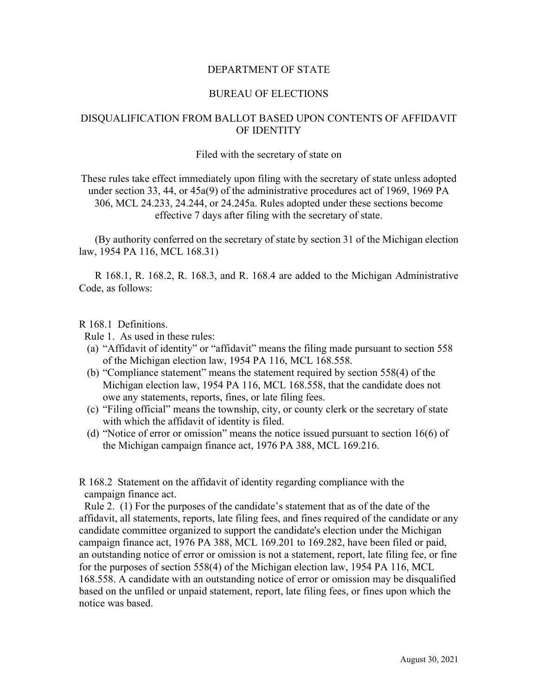## DEPARTMENT OF STATE

### BUREAU OF ELECTIONS

# DISQUALIFICATION FROM BALLOT BASED UPON CONTENTS OF AFFIDAVIT OF IDENTITY

#### Filed with the secretary of state on

These rules take effect immediately upon filing with the secretary of state unless adopted under section 33, 44, or 45a(9) of the administrative procedures act of 1969, 1969 PA 306, MCL 24.233, 24.244, or 24.245a. Rules adopted under these sections become effective 7 days after filing with the secretary of state.

(By authority conferred on the secretary of state by section 31 of the Michigan election law, 1954 PA 116, MCL 168.31)

R 168.1, R. 168.2, R. 168.3, and R. 168.4 are added to the Michigan Administrative Code, as follows:

## R 168.1 Definitions.

Rule 1. As used in these rules:

- (a) "Affidavit of identity" or "affidavit" means the filing made pursuant to section 558 of the Michigan election law, 1954 PA 116, MCL 168.558.
- (b) "Compliance statement" means the statement required by section 558(4) of the Michigan election law, 1954 PA 116, MCL 168.558, that the candidate does not owe any statements, reports, fines, or late filing fees.
- (c) "Filing official" means the township, city, or county clerk or the secretary of state with which the affidavit of identity is filed.
- (d) "Notice of error or omission" means the notice issued pursuant to section 16(6) of the Michigan campaign finance act, 1976 PA 388, MCL 169.216.

R 168.2 Statement on the affidavit of identity regarding compliance with the campaign finance act.

 Rule 2. (1) For the purposes of the candidate's statement that as of the date of the affidavit, all statements, reports, late filing fees, and fines required of the candidate or any candidate committee organized to support the candidate's election under the Michigan campaign finance act, 1976 PA 388, MCL 169.201 to 169.282, have been filed or paid, an outstanding notice of error or omission is not a statement, report, late filing fee, or fine for the purposes of section 558(4) of the Michigan election law, 1954 PA 116, MCL 168.558. A candidate with an outstanding notice of error or omission may be disqualified based on the unfiled or unpaid statement, report, late filing fees, or fines upon which the notice was based.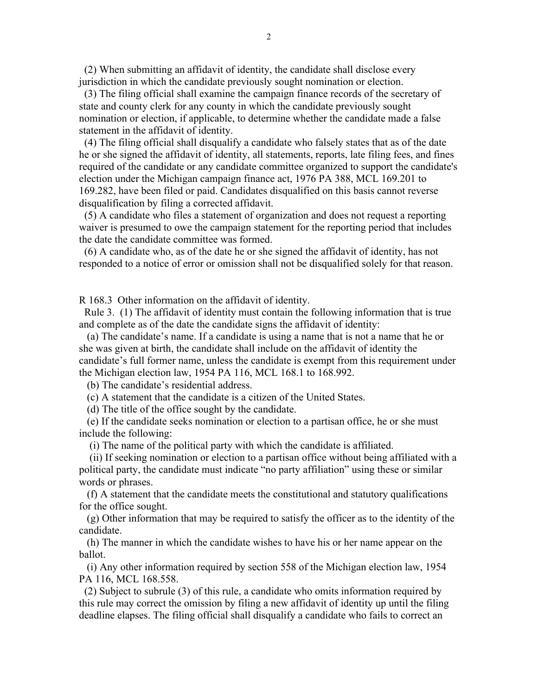(2) When submitting an affidavit of identity, the candidate shall disclose every jurisdiction in which the candidate previously sought nomination or election.

 (3) The filing official shall examine the campaign finance records of the secretary of state and county clerk for any county in which the candidate previously sought nomination or election, if applicable, to determine whether the candidate made a false statement in the affidavit of identity.

 (4) The filing official shall disqualify a candidate who falsely states that as of the date he or she signed the affidavit of identity, all statements, reports, late filing fees, and fines required of the candidate or any candidate committee organized to support the candidate's election under the Michigan campaign finance act, 1976 PA 388, MCL 169.201 to 169.282, have been filed or paid. Candidates disqualified on this basis cannot reverse disqualification by filing a corrected affidavit.

 (5) A candidate who files a statement of organization and does not request a reporting waiver is presumed to owe the campaign statement for the reporting period that includes the date the candidate committee was formed.

 (6) A candidate who, as of the date he or she signed the affidavit of identity, has not responded to a notice of error or omission shall not be disqualified solely for that reason.

R 168.3 Other information on the affidavit of identity.

 Rule 3. (1) The affidavit of identity must contain the following information that is true and complete as of the date the candidate signs the affidavit of identity:

 (a) The candidate's name. If a candidate is using a name that is not a name that he or she was given at birth, the candidate shall include on the affidavit of identity the candidate's full former name, unless the candidate is exempt from this requirement under the Michigan election law, 1954 PA 116, MCL 168.1 to 168.992.

(b) The candidate's residential address.

(c) A statement that the candidate is a citizen of the United States.

(d) The title of the office sought by the candidate.

 (e) If the candidate seeks nomination or election to a partisan office, he or she must include the following:

(i) The name of the political party with which the candidate is affiliated.

 (ii) If seeking nomination or election to a partisan office without being affiliated with a political party, the candidate must indicate "no party affiliation" using these or similar words or phrases.

 (f) A statement that the candidate meets the constitutional and statutory qualifications for the office sought.

 (g) Other information that may be required to satisfy the officer as to the identity of the candidate.

 (h) The manner in which the candidate wishes to have his or her name appear on the ballot.

 (i) Any other information required by section 558 of the Michigan election law, 1954 PA 116, MCL 168.558.

 (2) Subject to subrule (3) of this rule, a candidate who omits information required by this rule may correct the omission by filing a new affidavit of identity up until the filing deadline elapses. The filing official shall disqualify a candidate who fails to correct an